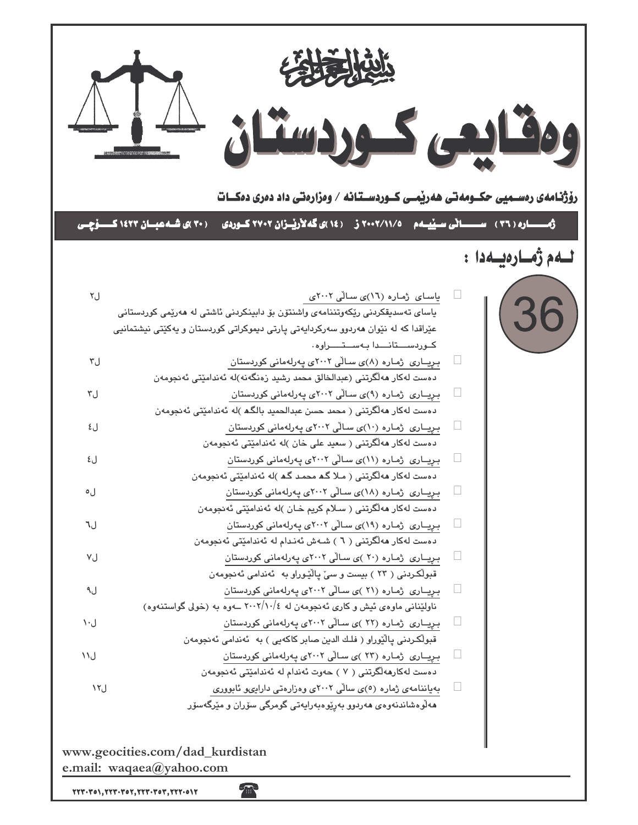

 $\textbf{Y}\textbf{Y}\textbf{Y}\cdot\textbf{Y}o\textbf{Y}, \textbf{Y}\textbf{Y}\textbf{Y}\cdot\textbf{Y}o\textbf{Y}, \textbf{Y}\textbf{Y}\textbf{Y}\cdot\textbf{Y}o\textbf{Y}, \textbf{Y}\textbf{Y}\textbf{Y}\cdot\textbf{0}\textbf{Y}\textbf{Y}$ 

R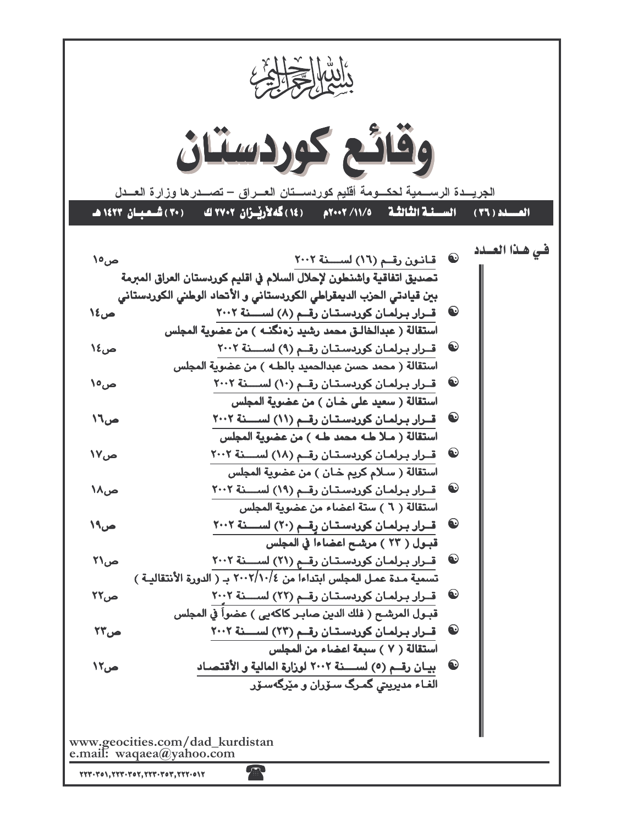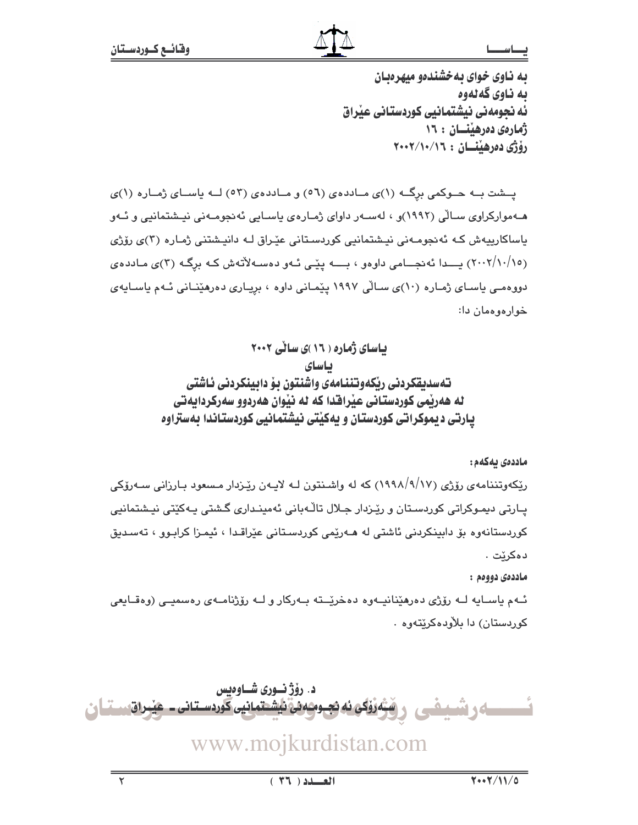به ناوی خوای به خشندهو میهرهبان به ناوي گه لهوه ئه نجومهنی نیشتمانیی کوردستانی عیراق ژمارەي دەرھىنسان : ١٦ رۆژى دەرھىتسان : ٢٠٠٢/١٠/١٦

پــشت بــه حـــوکمی برِگــه (۱)ی مــاددهی (٥٦) و مــاددهی (٥٣) لــه ياســای ژمــاره (۱)ی هـهموارکراوی سـالّی (۱۹۹۲)و ، لهسـهر داوای ژمـاره $\bm{\mathrm{c}}$  پاسـایی ئهنجومـهنی نیـشتمانیی و ئـهو یاساکارییەش کـه ئەنجومـەنى نیـشتمانیى کوردسـتانى عیّـراق لـه دانیـشتنى ژمـارە (٣)ى رۆژى (۲۰۰۲/۱۰/۱۰) بــدا ئەنجــامى داوەو ، بـــــــه يێـى ئــهو دەســـهلأتەش كــه برگــه (۳)ى مــاددەي دووهمـی یاسـای ژمـاره (۱۰)ی سـالّی ۱۹۹۷ یێمـانی داوه ، بریـاری دهرهێنـانی ئـهم یاسـایهی خوارەوەمان دا:

> بیاسای ژماره ( ۱۶ )ی سالی ۲۰۰۲ باساي تەسدىقكردنى ريكەوتننامەي واشنتون بۆ دابينكردنى ئاشتى له هەربمی کوردستانی عبّرافتدا که له نبّوان هەردوو سەرکردانەتی یارتی دیموکراتی کوردستان و یهکیتی نیشتمانیی کوردستاندا بهستراوه

> > ماددەى يەكەم:

ریکهوتننامهی رۆژی (۹/۱۷/۹/۱۷) که له واشـنتون لـه لایـهن ریـْـزدار مـسعود بـارزانی سـهرۆکی پـارتی دیمـوکراتی کوردسـتان و رێـزدار جـلال تاڵـﻪبانی ئهمینـداری گـشتی پـﻪکێتی نیـشتمانیی کوردستانەوە بۆ دابينکردنى ئاشتى لە ھـەرێمى کوردسـتانى عێراقـدا ، ئيمـزا کرابـوو ، تەسـديق دەكرێت .

ماددەي دووەم :

ئــهم ياســايه لــه رۆژى دەرھێنانيــهوه دەخرێـــته بــهرکار و لــه رۆژنامــهى رەسميــى (وەقــايعى کوردستان) دا پلاْودەکرێتەوە ٠

د. رۆژ نوری شـاوەىس مَرْوَّکِي ئه نجـومـُه ئي نايشـتمـانيي کوردسـتـاني ــ هيْـراق سـتــا ئ www.mojkurdistan.com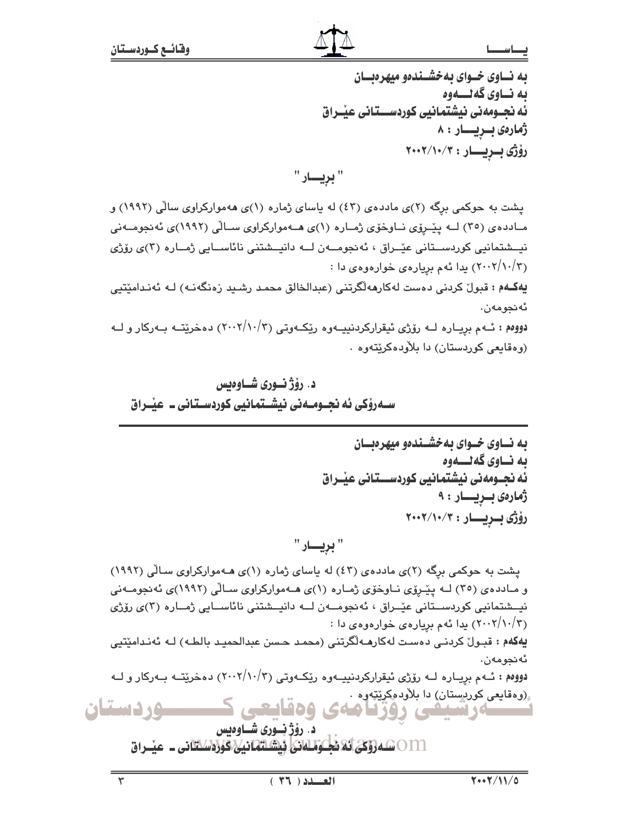### بصاسد

به نساوی خسوای به خشسندهو میهرهنسان ىە نــاوي گەنـــەوە ئه نجــومهني نيشتمـانيي كوردســـتـاني عيْــراق ژمارەى بىريسار : ٨ رۆژى بىريسار: ٢٠٠٢/١٠/٣

یشت به حوکمی برگه (۲)ی ماددهی (٤٣) له پاسای ژماره (۱)ی ههموارکراوی سالی (۱۹۹۲) و مـادده ی (۳۰) لــه ییّـروّی نــاوخوّی ژمـاره (۱)ی هــهموارکراوی ســالّی (۱۹۹۲)ی ئه نجومــهنی نیــشتمانیی کوردســتانی عیّــراق ، ئەنجومـــەن لـــه دانیــشتنی نائاســایی ژمــاره (۳)ی رۆژی (۲۰۰۲/۱۰/۳) یدا ئهم بریارهی خوارهوهی دا :

يەكــهم : قبولٌ كردنى دەست لەكارمەلگرتنى (عبدالخالق محمـد رشـيد زەنگەنـه) لـه ئەنـدامێتيى ئەنجومەن.

دووهم : ئـهم برِيـاره لـه رۆژى ئيقراركردنييـهوه رێكـهوتى (١٠٠٢/١٠/٣) دهخرێتـه بـهركار و لـه (وهقايعي کوردستان) دا بلاودهکريتهوه .

# د. رۆژنسورى شــاوەبس سےدروکی ئه نحسومیەنی نیشستمانیی کوردسیتانی ۔ عنبراق

" بريسار "

یشت به حوکمی برگه (۲)ی ماددهی (٤٣) له پاسای ژماره (۱)ی هـهموارکراوی سـالّی (١٩٩٢) و مـادده ی (۳٥) لــه پێــرۆی نــاوخۆی ژمــاره (۱)ی هــهموارکراوی ســالّی (۱۹۹۲)ی ئهنجومــهنی نيــشتمانيي كوردســتاني عێــراق ، ئەنجومـــەن لـــه دانيــشتني نائاســايي ژمــاره (٣)ي رۆژي (۲۰۰۲/۱۰/۳) بدا ئهم بریارهی خوارهوهی دا : يهكهم : قبـولٌ كردنـي دەست لەكارھـەلْگرتنى (محمـد حـسن عبدالحميـد بالطـه) لـه ئەنـدامێتيى ئەنحومەن. دووهم : ئــهم بريــاره لــه رۆژى ئيقراركردنييــهوه رێكــهوتى (٢٠٠٢/١٠/٣) دهخرێتــه بــهركار و لــه ,(وهقايعی کورىستان) دا بلاودمکر<u>نت</u>ەوە . سەرشىفى روزنامەي وەقايعى ــوردستان د. رؤژ نوری شـاوهيس

011 @مەرۇكى ئەنجىۋىلىانى ئېشلىھانيى كۈزەسىتانى \_ مىسراق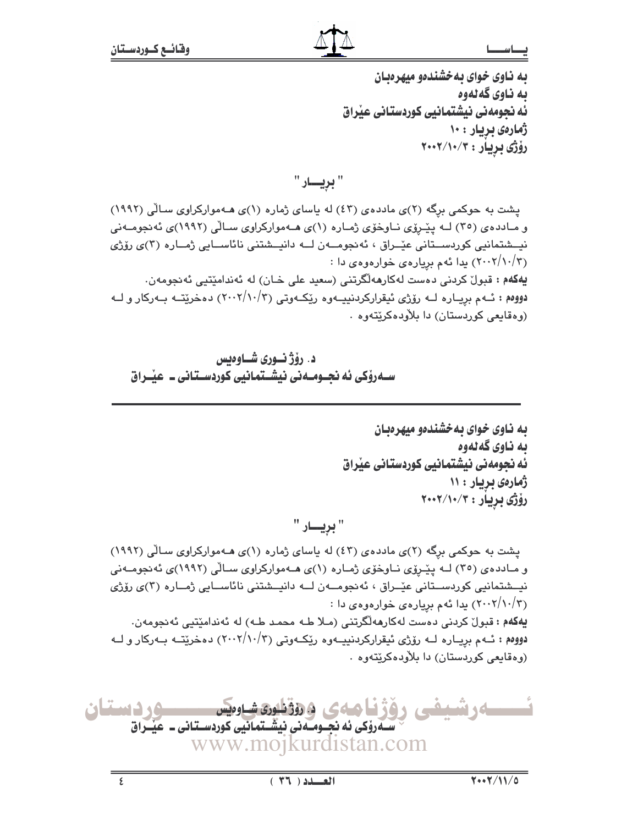به ناوی خوای بهخشندهو میهرهبان به ناوي گه لهوه ئه نجومهنی نیشتمانیی کوردستانی عیراق ژمارەي بريار : ۱۰ رۆژى بريار : ٢٠٠٢/١٠/٣

" بريسار "

یشت به حوکمی برگه (۲)ی ماددهی (٤٣) له پاسای ژماره (۱)ی هـهموارکراوی سـالّی (١٩٩٢) و مـادده ی (۳٥) لــه پیّـروی نـاوخوّی ژمـاره (۱)ی هـهموارکراوی سـالّی (۱۹۹۲)ی ئه نجومـهنی نيــشتمانيي كوردســتاني عێــراق ، ئەنجومـــەن لـــه دانيــشتني نائاســايي ژمــاره (٣)ي رۆژي (۲۰۰۲/۱۰/۳) یدا ئهم بریارهی خوارهوهی دا : يهکهم : قبولٌ کردنی دهست لهکارههالٌگرتنی (سعيد علی خـان) له ئهندامێتيي ئهنجومهن. دووهم : ئــهم بريــاره لــه رۆژي ئيقراركردنييــهوه رێكــهوتي (٢٠٠٢/١٠/٣) دهخرێتــه بــهركار و لــه (وهقايعي کوريستان) دا پلاويدهکريتهوه .

د. رۆژنسورى شساوەيس ســهروْکی ئه نجــومــه نی نیشــتمـانیی کوردســتـانی ــ عیّــراق

به ناوی خوای به خشندهو میهرهبان ىە ناوي گەلەوە ئه نجومهنی نیشتمانیی کوردستانی عیراق ژمارهی بریار : ۱۱ رۆژى بريار : ۲۰۰۲/۱۰/۳

" بريسار "

یشت به حوکمی برگه (۲)ی ماددهی (٤٣) له پاسای ژماره (۱)ی هـهموارکراوی سـالّی (١٩٩٢) و مـادده ی (۳٥) لــه پیّـروّی نــاوخوّی ژمـاره (۱)ی هــهموارکراوی سـالّی (۱۹۹۲)ی ئه نجومــهنی نیےشتمانیی کوردســتانی عیّــراق ، ئەنجومـــەن لـــه دانیــشتنی نائاســایی ژمــاره (۳)ی رۆژی (۲۰۰۲/۱۰/۳) یدا ئهم بریارهی خوارهوهی دا : يهكهم : قبولٌ كردني دەست لەكارھەلْگرتنى (مـلا طـه محمد طـه) له ئەندامێتيى ئەنجومەن. دووهم : ئــهم بريــاره لــه رۆژى ئيقراركردنييــهوه رێكــهوتى (٢٠٠٢/١٠/٣) دهخرێتــه بــهركار و لــه (وهقايعي كوردستان) دا بلاودهكريتهوه .

ساء و نثبته **وردستان** ی دوؤ کا ماه ک دروندون شاوهیس سے روکی ئه نجــومــه نی نیشــتمـانیی کوردســتـانی ــ عیــْـراق www.mojkurdistan.com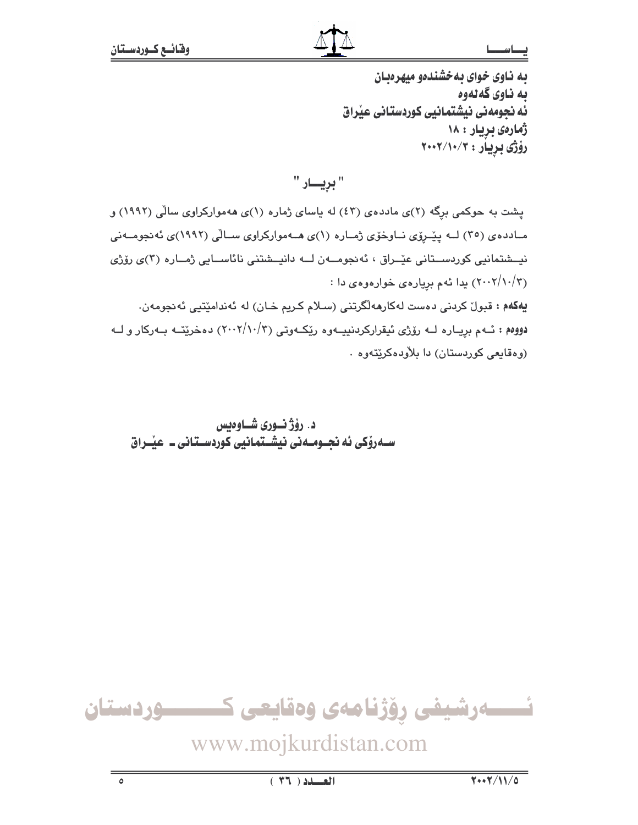به ناوی خوای به خشندهو میهرهبان به ناوي گه لهوه ئه نجومهنی نیشتمانیی کوردستانی عیراق ژمارهی بریار : ۱۸ رۆژى بريار : ۲۰۰۲/۱۰/۳

" بريسار "

یشت به حوکمی برگه (۲)ی ماددهی (٤٣) له پاسای ژماره (۱)ی ههموارکراوی سالی (۱۹۹۲) و مـادده ی (۳۰) لــه ییّــروّی نــاوخوّی ژمــاره (۱)ی هــهموارکراوی ســالّی (۱۹۹۲)ی ئه نجومــهنی نيــشتمانيي كوردســتاني عێــراق ، ئەنجومـــەن لـــه دانيــشتني نائاســايي ژمــاره (٣)ي رۆژي (۲۰۰۲/۱۰/۳) یدا ئهم بریارهی خوارهوهی دا : **يەكەم : ق**بولٌ كردنى دەست لەكارھەلگرتنى (سىلام كىريم خـان) لە ئەندامێتيى ئەنجومەن. دووهم : ئــهم بريــاره لــه رۆژى ئيقراركردنييــهوه رێكــهوتى (٢٠٠٢/١٠/٣) دهخرێتــه بــهركار و لــه (وهقايعي كوردستان) دا بلاودهكريتهوه .

د. رۆژنـورى شـاوەبس ســهروٰکی ئه نجــومــهنی نیشــتمـانیی کوردســتـانی ــ عیّــراق



www.mojkurdistan.com

 $\circ$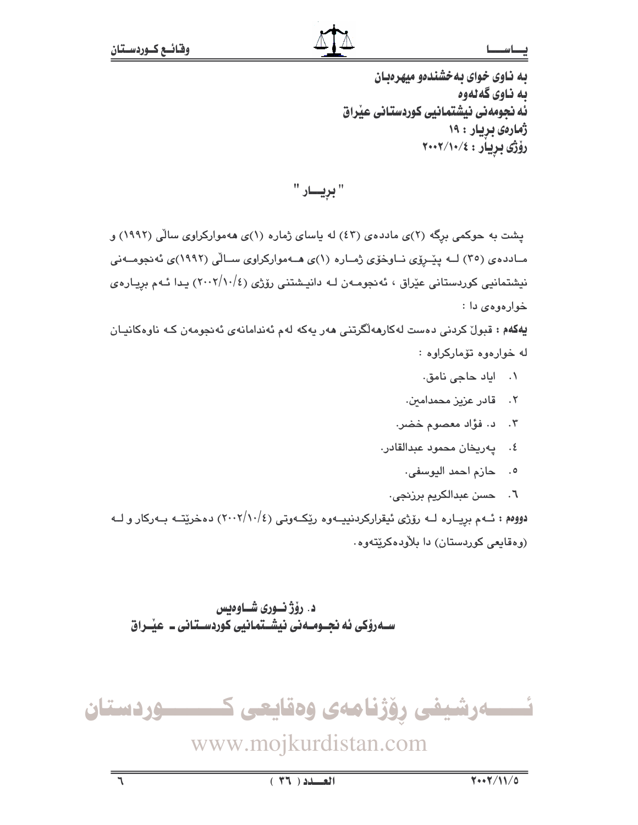به ناوی خوای به خشندهو میهرهبان به ناوي گه لهوه ئه نجومهنی نیشتمانیی کوردستانی عیراق ژمارەي بريار : ۱۹ رۆژى بريار : ٢٠٠٢/١٠/٤

" بړيسار "

یشت به حوکمی برگه (۲)ی ماددهی (٤٣) له پاسای ژماره (۱)ی ههموارکراوی سالی (۱۹۹۲) و مـادده ی (۳۰) لــه ییّــروّی نــاوخوّی ژمــاره (۱)ی هــهموارکراوی ســالّی (۱۹۹۲)ی ئه نجومــهنی نیشتمانیی کوردستانی عیّراق ، ئەنجومـەن لـه دانیـشتنی رۆژی (٢٠٠٢/١٠/٤) یـدا ئـهم برِیـارەی خوارهوه ی دا :

یهکهم : قبولٌ کردنی دهست لهکارههلگرتنی ههر یهکه لهم ئهندامانهی ئهنجومهن کـه ناوهکانیـان له خوارهوه تۆماركراوه :

- ۰۱ ایاد حاجی نامق.
- ۰۲ قادر عزیز محمدامی*ن*.
- ٢. د. فؤاد معصوم خضر.
- ٤. يەريخان محمود عبدالقادر.
	- ٥. حازم احمد اليوسفى.
	- ٦. حسن عبدالكريم برزنجي.

دووهم : ئــهم برِيــاره لــه رۆژى ئيقراركردنييــهوه رێكــهوتى (٢٠٠٢/١٠/٤) دهخرێتــه بــهركار و لــه (وهقايعي كوردستان) دا بلأودهكريتهوه.

د. رۆژنـورى شـاوەبس ســهروٰکی ئه نجــومــهنی نیشــتمـانیی کوردســتـانی ــ عیـّــراق

ئــــــەرشيفى رۆژنامەى وەقايعى كـــــــــوردستان

www.mojkurdistan.com

 $\overline{\tau}$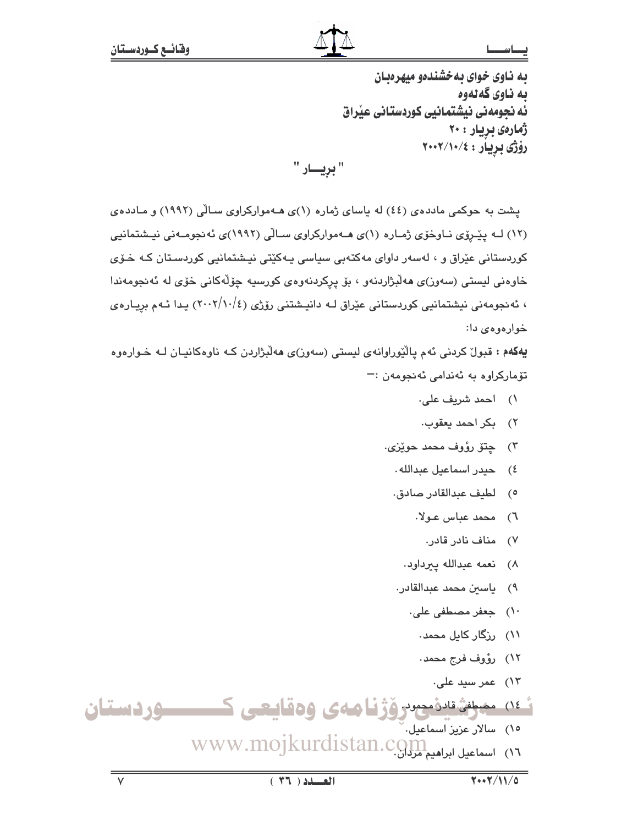### ـا س

به ناوی خوای به خشندهو میهرهبان به ناوي گه لهوه ئه نجومهنی نیشتمانیی کوردستانی عیراق ژمارهی بریار : ۲۰ رۆژى بريار : ٢٠٠٢/١٠/٤

" بريــــار "

یشت به حوکمی مادده ی (٤٤) له پاسای ژماره (١)ی هـهموارکراوی سـالّی (١٩٩٢) و مـادده ی (١٢) لـه پیّیروی نـاوخوّی ژمـاره (١)ی هـهموارکراوی سـالّی (١٩٩٢)ی ئه نجومـهنی نیـشتمانیی کوردستانی عێراق و ، لهسهر داوای مهکتهبی سیاسی پـهکێتی نیـشتمانیی کوردسـتان کـه خـوّی خاوهني ليستي (سەوز)ي ھەلّبژاردنەو ، بۆ پركردنەوەي كورسيە چۆلّەكانى خۆي لە ئەنجومەندا ، ئەنجومەنى نیشتمانیى كوردستانى عێراق لـه دانیـشتنى رۆژى (٢٠٠٢/١٠/٤) يـدا ئـهم بريـارەي خوارەوەى دا:

یهکهم : قبول کردنی ئهم یالکوراوانهی لیستی (سهون)ی ههلابژاردن کـه ناوهکانیـان لـه خـوارهوه تۆماركراوە بە ئەندامى ئەنجومەن :-

- ١) احمد شريف علي.
- ٢) بكر احمد يعقوب.
- ٣) ڇتۆ رؤوف محمد حوێزی.
	- ٤) حيدر اسماعيل عبدالله.
	- ٥) لطيف عبدالقادر صادق.
		- ٦) محمد عباس عـولا.
			- ۷) مناف نادر قادر.
		- ٨) نعمه عبدالله ييرداود.
	- ٩) ياسين محمد عبدالقادر.
		- ١٠) جعفر مصطفى على.
			- ۱۱) رزگار کابِل محمد۰
			- ١٢) رؤوف فرج محمد.
				- ۱۳) عمر سید علی.

ئەن مەرىشقاندىمىدرۆژنامەي ۋەقايعى ك <u>سوردستان</u>

ه) سالار عزیز آسماعیل. WWW.mojkurdistan.com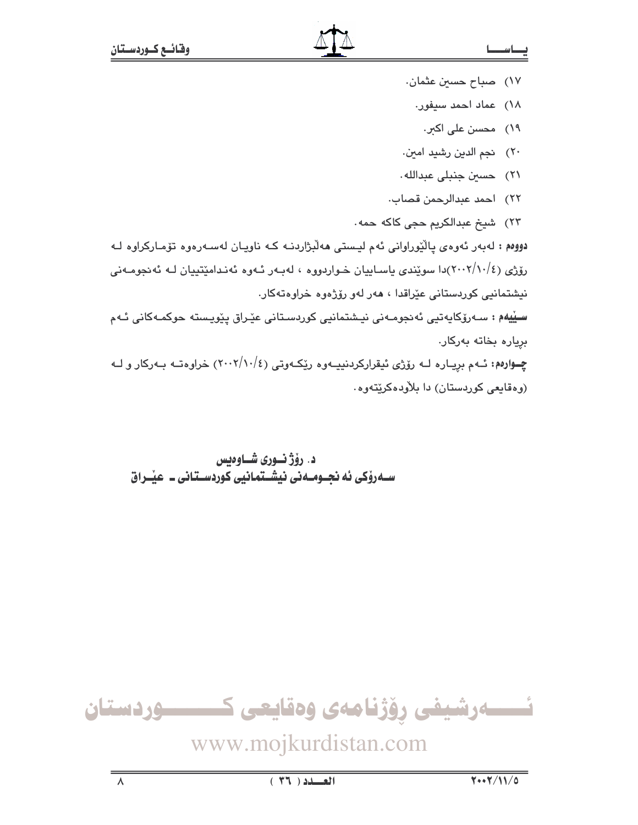- ١٧) صباح حسين عثمان.
- ١٨) عماد احمد سيفور.
	- ۱۹) محسن علي اکثر.
- ٢٠) نجم الدين رشيد امين.
- ٢١) حسين جنبلي عبدالله.
- ٢٢) احمد عبدالرحمن قصاب.
- ٢٣) شيخ عبدالكريم حجى كاكه حمه.

دووهم : لەبەر ئەوەي يالێوراوانى ئەم ليستى ھەلبژاردنــه كـه ناويـان لەسـەرەوە تۆمـاركراوە لــه رۆژی (٢٠٠٢/١٠/٤)دا سوێندی ياسـاييان خـواردووه ، لهېـهر ئـهوه ئهنـدامێتييان لـه ئهنجومـهنی نیشتمانیی کوردستانی عێراقدا ، هەر لەو رۆژەوە خراوەتەکار.

سیّیهم : سـﻪرۆکاپەتپی ئەنجومـﻪنی نیـشتمانیی کوردسـتانی عیّـراق ییّویـسته حوکمـﻪکانی ئـﻪم برياره بخاته بەركار.

چــوارهم: ئــهم بريــاره لــه رۆژى ئيقراركردنييــهوه رێكــهوتى (٢٠٠٢/١٠/٤) خراوهتــه بــهركار و لــه (وهقايعي كوردستان) دا بلاودهكريتهوه.

د. رۆژنـورى شـاوەبس ســهروْکی ئه نجــومــهنی نیشــتمانیی کوردســتـانی ــ عیـْــراق



www.mojkurdistan.com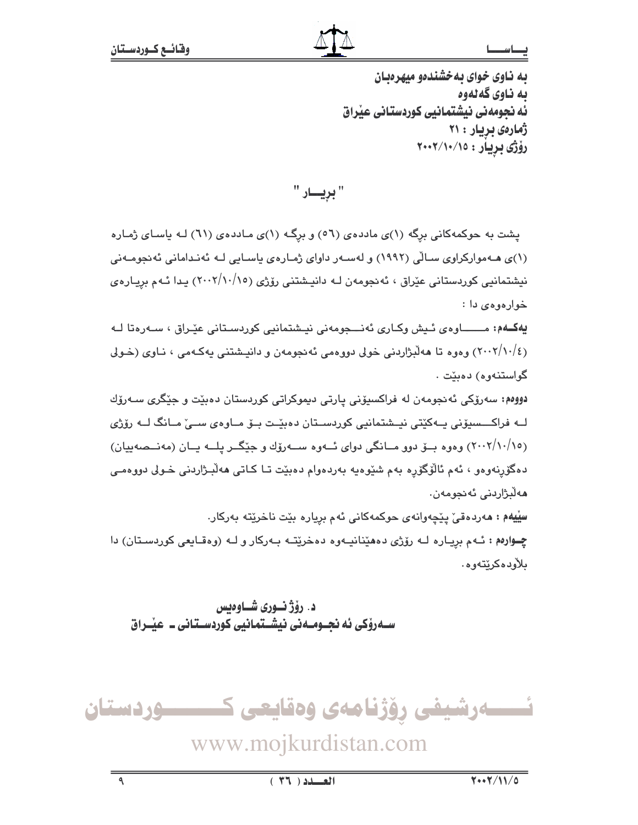به ناوی خوای به خشندهو میهرهبان به ناوي گه لهوه ئه نجومهنی نیشتمانیی کوردستانی عیراق ژمارەي بريار : ۲۱ رۆژى بريار : ٢٠٠٢/١٠/١٥

" بريــــار "

یشت به حوکمهکانی برِگه (۱)ی ماددهی (٥٦) و برگه (۱)ی ماددهی (٦١) لـه یاسای ژماره (۱)ی هـهموارکراوی سـالّی (۱۹۹۲) و لهسـهر داوای ژمـارهی باسـایی لـه ئهنـدامانی ئهنجومـهنی نیشتمانیی کوردستانی عێراق ، ئەنجومەن لـه دانیـشتنی رۆژی (۲۰۰۲/۱۰/۱۰) بـدا ئـهم بریـارەی خوارهوهي دا :

يهڪهم: مــــــاوهي ئـيش وکباري ئهنـــجومهني نيـشتمانيي کوردسـتاني عيّـراق ، سـهرهتا لـه (٢٠٠٢/١٠/٤) وهوه تا ههلابژاردنی خولی دووهمی ئه نجومهن و دانپشتنی بهکـهمی ، نـاوی (خـولی گواستنەوە) دەبێت .

دوومم: سەرۆكى ئەنجومەن لە فراكسىۆنى يارتى دىموكراتى كوردستان دەبێت و جێگرى سـەرۆك لــه فراکــــسیۆنی پــهکێتی نیــشتمانیی کوردســتان دەبێــت بــۆ مــاوەی ســیٚ مــانگ لــه رۆژی (٢٠٠٢/١٠/١٥) وهوه بـــوّ دوو مـــانگي دواي ئـــهوه ســـهروّك و جێگـــر يلـــه يــان (مهنــصهييان) دهگۆرنەوەو ، ئەم ئالۆگۆرە بەم شێوەپە بەردەوام دەبێت تـا كـاتى ھەلٚبـژاردنى خـولى دووەمـى ھەلىژاردنى ئەنجومەن.

سِيْيهم : مەردەقى پيچەوانەي جوكمەكانى ئەم بريارە بيّت ناخريتە بەركار. چوارهم: ئهم بریاره له رۆژى دههيذانيهوه دهخريته بهركار و لـه (وهقايعى كوردستان) دا ىلأودەكرێتەوھ.

د. رؤژ نـوري شـاوەبس سـهروکی ئه نحـومـهنی نیشـتمانیی کوردسـتانی ـ عیّـراق

ئـــــەرشیفی رۆژنامەی وەقايعی ك ـــــوردستان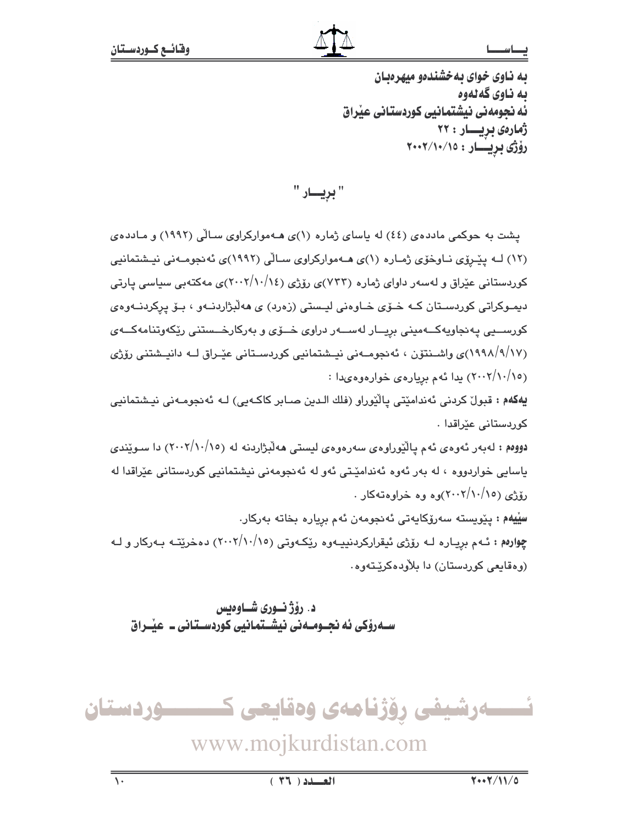### ـا س

به ناوی خوای به خشندهو میهرهبان به ناوي گهلهوه ئه نجومهنی نیشتمانیی کوردستانی عیراق ژمارەى بريـــار : ۲۲ رۆژى بريسار : ١٥/١٠/١٠٧

" بريــــار "

یشت به حوکمی ماددهی (٤٤) له پاسای ژماره (١)ی هـهموارکراوی سـالّی (١٩٩٢) و مـاددهی (١٢) لــه پیروی نــاوخوّی ژمـاره (١)ی هــهموارکراوی ســالّی (١٩٩٢)ی ئه نجومــهنی نیــشتمانیی کوردستانی عێراق و لهسهر داوای ژماره (۷۳۳)ی رۆژی (۲۰۰۲/۱۰/۱٤)ی مهکتهبی سیاسی یارتی ديمـوکراتي کوردسـتان کـه خــۆي خــاوهني ليـستي (زهرد) ي ههلبژاردنــهو ، بــۆ پرکردنــهوهي کورســيى پهنجاويهکــهمينى بريــار لهســهر دراوى خــۆى و بهرکارخــستنى رێکهوتنامهکــهى (۱۹۹۸/۹/۱۷)ی واشـنتوّن ، ئەنجومــەنی نیــشتمانیی کوردســتانی عیّـراق لــه دانیــشتنی روّژی (۲۰۰۲/۱۰/۱۰) یدا ئهم بریارهی خوارهوهیدا :

**يەكەم : ق**بول كردنى ئەندامێتى پاڵێوراو (فلك الـدین صـابر كاكـەیى) لـە ئەنجومـەنى نیـشتمانیى كوردستانى عيّراقدا .

دووهم : لەبەر ئەوەي ئەم يالٽوراوەي سەرەوەي ليستى ھەلّبژاردنە لە (١٠/١٠/١٥) دا سـوێندى باسایی خواردووه ، له بهر ئهوه ئەندامێتی ئەو له ئەنجومەنی نیشتمانیی کوردستانی عێراقدا له روّژي (۱۰/۱۰/۱۰/۱۰) ده وه خراوه ته کار

**سِيْيەم :** يێويستە سەرۆكايەتى ئەنجومەن ئەم بريارە بخاتە بەركار. چوارهم : ئـهم بږيـاره لـه رۆژى ئيقراركردنييـهوه رێكـهوتى (٢٠٠٢/١٠/١٥) دهخرێتـه بـهركار و لـه (وهقايعي كوردستان) دا بلاودهكريتهوه.

د. رۆژنسورى شساوەيس ســهروْکی ئه نجــومــهنی نیشــتمانیی کوردسـتـانی ــ عیْــراق

ئـــــەرشيفى رۆژنامەي وەقايعى ك ــــوردستان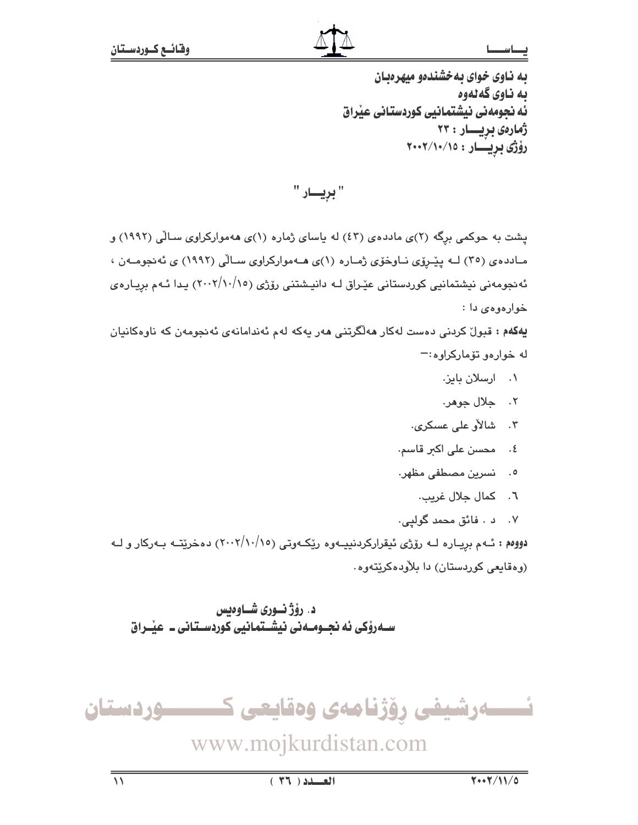به ناوی خوای به خشندهو میهرهبان به ناوي گهلهوه ئه نجومهنی نیشتمانیی کوردستانی عیراق ژمارەى بريسار : ۲۳ رۆژى بريسار : ١٥/١٠/١٠٧

" بړيسار "

یشت به حوکمی برگه (۲)ی ماددهی (٤٣) له پاسای ژماره (۱)ی ههموارکراوی سالی (۱۹۹۲) و مـادده ی (۳٥) لــه پیّـروّی نــاوخوّی ژمـاره (۱)ی هــهموارکراوی ســالّی (۱۹۹۲) ی نّه نجومــه ن ، ئەنجومەنى نیشتمانیى كوردستانى عێراق لـه دانیـشتنى رۆژى (١٥/١٠/١٠) يـدا ئـهم بريـارەي خوارموم*ی* دا :

**يەكەم : ت**ېول كردنى دەست لەكار ھەلگرتنى ھەر پەكە لەم ئەندامانەي ئەنجومەن كە ناوەكانيان له خوارهو تۆماركراوه:-

- ۰۱ ارسلان بایز.
- ٢. جلال جوهر.
- ۴. شالاُو علي عسكري.
- ٤. محسن علي اکثر قاسم.
- ٥. فسرين مصطفى مظهر.
	- ٦. كمال جلال غريب.
- ۰۷ د . فائق محمد گوليي.

دووهم : ئـهم برپيـاره لــه رۆژى ئيقراركردنييـهوه رێكـهوتى (١٠/١٠/١٥/) دهخرێتــه بـهركار و لــه (وهقايعي كوردستان) دا بلاودهكريتهوه.

د. رۆژنسورى شاوەبس ســهروٰکی ئه نجــومــهنی نیشــتمـانیی کوردســتـانی ــ عیـّــراق

ئــــــەرشيفى رۆژنامەى وەقايعى كــــــــــوردستان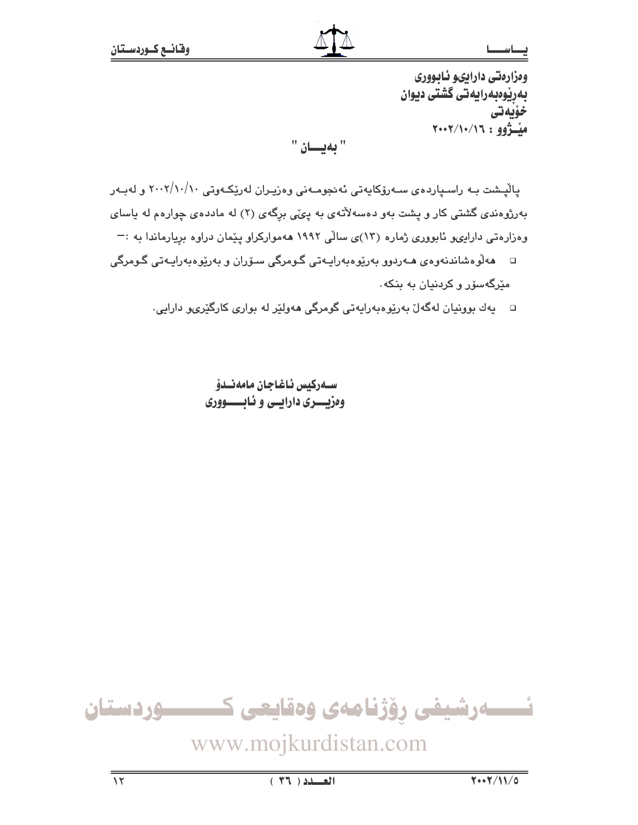وهزارهتي دارايىو ئابوورى بەرپوەبەرايەتى گشتى ديوان خۆيەتى ميشؤوو: ٢٠٠٢/١٠/١٦

"بهيسان "

پالْپـشت بـه راسـپارده $\omega$  سـهرۆکایەتی ئەنجومـەنی وەزیـران لەرێِکـەوتی ۲۰۰۲/۱۰/۱۰ و لەبـەر بهرژوهندی گشتی کار و پشت بهو دهسهلأتهی به پیّی برگهی (۲) له ماددهی چوارهم له پاسای وهزارهتی داراییو نابووری ژماره (۱۳)ی سالّی ۱۹۹۲ ههموارکراو پیّمان دراوه بریارماندا به :—

- □ ھەلّوەشاندنەوەي ھـﻪردوو بەرێوەبەراپـﻪتى گـومرگى سـۆران و بەرێوەبەراپـﻪتى گـومرگى مێرگەسۆر و کردنیان بە بنکە.
	- □ يەك بوونيان لەگەلٚ بەرێوەبەرايەتى گومرگى ھەولێر لە بوارى كارگێرىو دارايى.

سيەركىس ئاغاجان مامەنىدۆ وهزيسري دارايسي و ئباسسووري



www.mojkurdistan.com

 $(57)$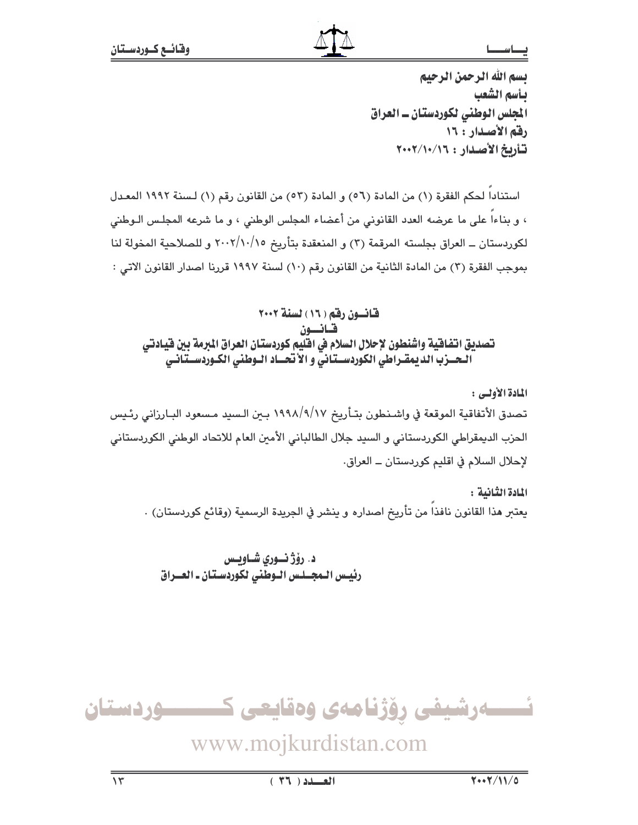يسم الله الرحمن الرحيم بأسم الشعب المجلس الوطني لكوردستان ــ العراق رقم الأصدار : ١٦ تأريخ الأصدار: ١٦/١٠/١٠٧

استنادا لحكم الفقرة (١) من المادة (٥٦) و المادة (٥٣) من القانون رقم (١) لسنة ١٩٩٢ المعدل ، و بناءا على ما عرضه العدد القانوني من أعضاء المجلس الوطني ، و ما شرعه المجلس الـوطني لكوردستان ــ العراق بجلسته المرقمة (٣) و المنعقدة بتأريخ ٢٠٠٢/١٠/١٥ و للصلاحية المخولة لنا بموجب الفقرة (٣) من المادة الثانية من القانون رقم (١٠) لسنة ١٩٩٧ قررنا اصدار القانون الاتي :

قانسون رقم ( ١٦ ) لسنة ٢٠٠٢ قبانسون تصديق اتفاقية واشنطون لإحلال السلام في اقليم كوردستان العراق المبرمة بين فيادتي الحسرب الديمقراطي الكوردسستاني و الأنحساد السوطني الكبوردسستانس

المادة الأولى : تصدق الأتفاقية الموقعة في واشـنـطون بتـأريخ ١٩٩٨/٩/١٧ بـين الـسيد مـسعود البـارزاني رئـيس الحزب الديمقراطي الكوردستاني و السيد جلال الطالباني الأمين العام للاتحاد الوطني الكوردستاني لإحلال السلام في اقليم كوردستان \_ العراق.

المادة الثّانية : يعتبر هذا القانون نافذا من تأريخ اصداره و ينشر في الجريدة الرسمية (وقائم كوردستان) .

د. رۆژ نــورى شــاويــس رئيس الـمجــلـس الـوطّنى لكوردسـتـان ـ العــراق

ــــوردستان ئـــــەرشيفى رۆژنامەي وەقايعى ك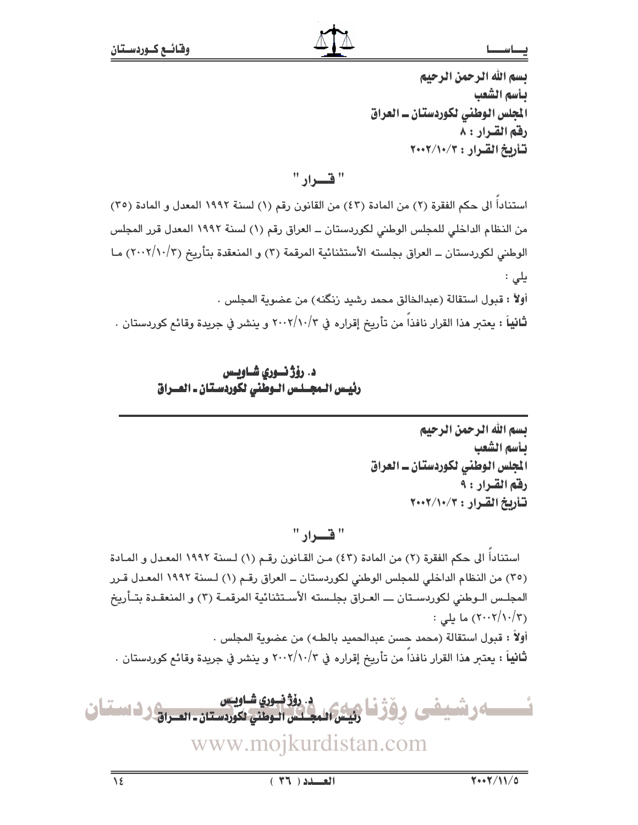## بسم الله الرحمن الرحيم بأسم الشعب الجلس الوطني لكوردستان ــ العراق رقم القـرار : ٨ تأريخ القرار : ٢٠٠٢/١٠/٣

## $"$ قبراد $"$

استناداً الى حكم الفقرة (٢) من المادة (٤٣) من القانون رقم (١) لسنة ١٩٩٢ المعدل و المادة (٣٥) من النظام الداخلي للمجلس الوطني لكوردستان ــ العراق رقم (١) لسنة ١٩٩٢ المعدل قرر المجلس الوطني لكوردستان ــ العراق بجلسته الأستثنائية المرقمة (٣) و المنعقدة بتأريخ (٢٠٠٢/١٠/٢) مـا یلی : أولاً : قبول استقالة (عبدالخالق محمد رشيد زنگنه) من عضوية المجلس . **ثانياً :** يعتبر هذا القرار نافذاً من تأريخ إقراره في ٢٠٠٢/١٠/٣ و ينشر في جريدة وقائع كوردستان .

> د. رؤژ نسوري شــاويــس رئيس الـمجــلـس الـوطني لكوردسـتان ـ العــراق

> > بسم الله الرحمن الرحيم بأسم الشعب المجلس الوطني لكوردستان ـ العراق رفقم القــرار : ٩ تأريخ القرار: ٢٠٠٢/١٠/٣

 $\overline{a}$ 

 $\mathsf{B} \subseteq \mathsf{B}$ 

استناداً الى حكم الفقرة (٢) من المادة (٤٣) من القانون رقم (١) لسنة ١٩٩٢ المعدل و المادة (٣٥) من النظام الداخلي للمجلس الوطني لكوردستان ـ العراق رقم (١) لسنة ١٩٩٢ المعدل قـرر المجلـس الـوطني لكوردسـتان ـــ العـراق بجلـسته الأسـتثنائية المرقمـة (٣) و المنعقـدة بتـأريخ (۲۰۰۲/۱۰/۳) ما يلي : أولاً : قبول استقالة (محمد حسن عبدالحميد بالطـه) من عضوية المجلس . ثانياً : يعتبر هذا القرار نافذاً من تأريخ إقراره في ٢٠٠٢/١٠/٣ و ينشر في جريدة وقائع كوردستان .

<u>ئىسسسا</u>كى ئىشبىغى بوقۇغا ئېيىن المجلس الىمىن نكوردستان ـ العـرانى نـ استغان <u>ڊ. روڳ نڀوري شــاويـس</u> <sup>ر —</sup> رئيس المجـلس الـوطني لكوردسـتان ـ العــراق-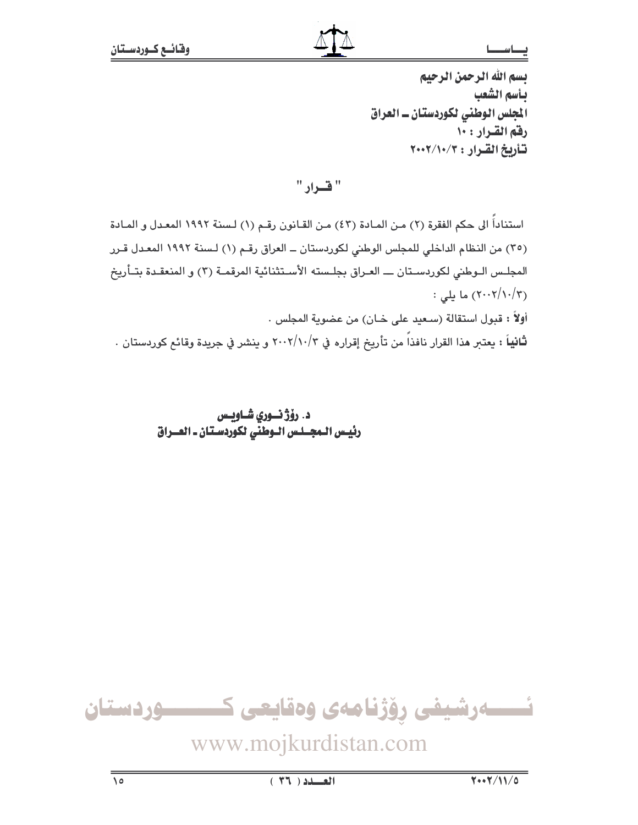يسم الله الرحمن الرحيم بأسم الشعب المجلس الوطني لكوردستان ـ العراق رفقم القرار: ١٠ تأريخ القرار: ٢٠٠٢/١٠/٢

" قرار "

استناداً الى حكم الفقرة (٢) مـن المـادة (٤٣) مـن القـانون رقـم (١) لـسنة ١٩٩٢ المعـدل و المـادة (٣٥) من النظام الداخلي للمجلس الوطني لكوردستان ــ العراق رقم (١) لسنة ١٩٩٢ المعدل قـرر المجلـس الـوطني لكوردسـتان ـــ العـراق بجلـسته الأسـتثنائية المرقمـة (٣) و المنعقـدة بتـأريخ : ۲۰۰۲/۱۰/۳) ما يلي  $(5.57/1.7)$ أولاً : قبول استقالة (سـعيد على خـان) من عضوية المجلس .

**ثانياً :** يعتبر هذا القرار نافذاً من تأريخ إقراره في ٢٠٠٢/١٠/٣ و ينشر في جريدة وقائم كوردستان .

د. رۆژ نسورى شــاويس رئِيس الـمجــلـس الـوطنَى لكوردسـتان ـ العــراق



www.mojkurdistan.com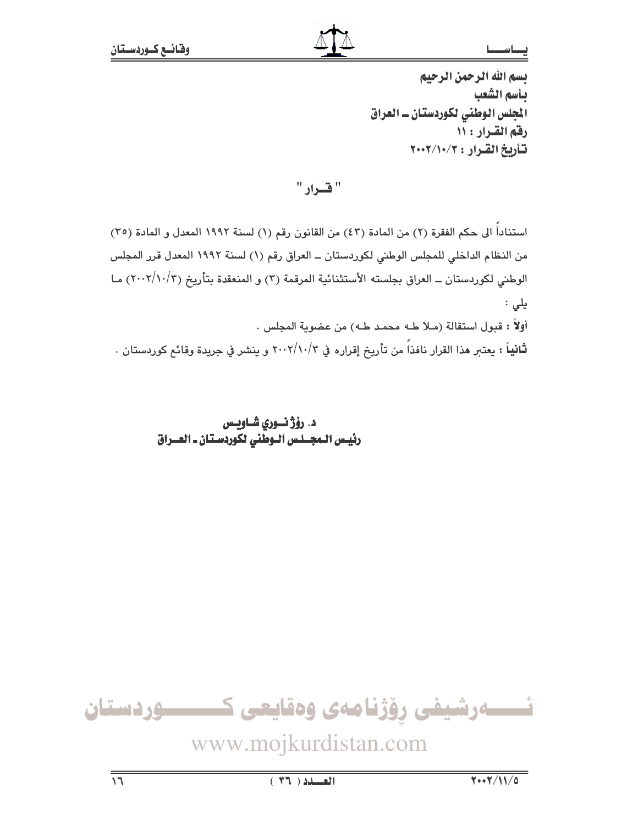بسم الله الرحمن الرحيم بأسم الشعب المجلس الوطني لكوردستان ـ العراق رفق القرار : ١١ تأريخ القرار: ٢٠٠٢/١٠/٢

" قرار "

استناداً الى حكم الفقرة (٢) من المادة (٤٣) من القانون رقم (١) لسنة ١٩٩٢ المعدل و المادة (٣٥) من النظام الداخلي للمجلس الوطني لكوردستان ــ العراق رقم (١) لسنة ١٩٩٢ المعدل قرر المجلس الوطني لكوردستان ــ العراق بجلسته الأستثنائية المرقمة (٣) و المنعقدة بتأريخ (٢٠٠٢/١٠/٣) مـا يلى : أولاً : قبول استقالة (مـلا طـه محمـد طـه) من عضوية المجلس . ثانياً : يعتبر هذا القرار نافذاً من تأريخ إقراره في ٢٠٠٢/١٠/٣ و ينشر في جريدة وقائع كوردستان .

> د. رۆژ نسوري شــاويــس رئيس الـمجــلـس الـوطني لكوردسـتان ـ العــراق



www.mojkurdistan.com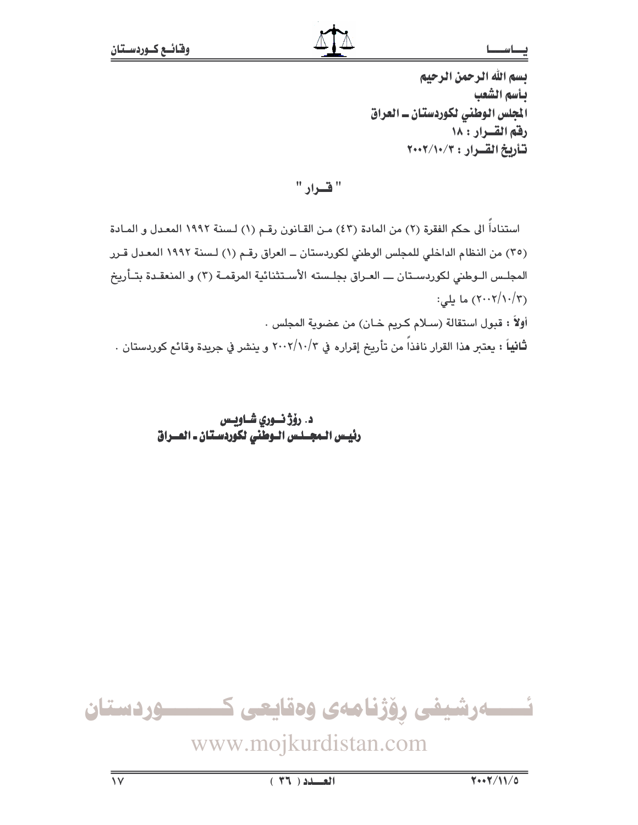يسم الله الرحمن الرحيم بأسم الشعب المجلس الوطني لكوردستان ـ العراق رفق القسرار : ١٨ تأريخ القرار: ٢٠٠٢/١٠/٢

" قرار "

استناداً الى حكم الفقرة (٢) من المادة (٤٣) مـن القـانون رقـم (١) لـسنة ١٩٩٢ المعـدل و المـادة (٣٥) من النظام الداخلي للمجلس الوطني لكوردستان ــ العراق رقم (١) لسنة ١٩٩٢ المعدل قـرر المجلـس الـوطني لكوردسـتان ـــ العـراق بجلـسته الأسـتثنائية المرقمـة (٣) و المنعقـدة بتـأريخ (٢٠٠٢/١٠/٣) ما يلي: أولاً : قبول استقالة (سـلام كـريم خـان) من عضوية المجلس . ثانياً : يعتبر هذا القرار نافذاً من تأريخ إقراره في ٢٠٠٢/١٠/٣ و ينشر في جريدة وقائع كوردستان .

> د. رؤژ نسوري شــاويـس رئيس المجلس اللوطني لكوردستان ـ العلراق



www.mojkurdistan.com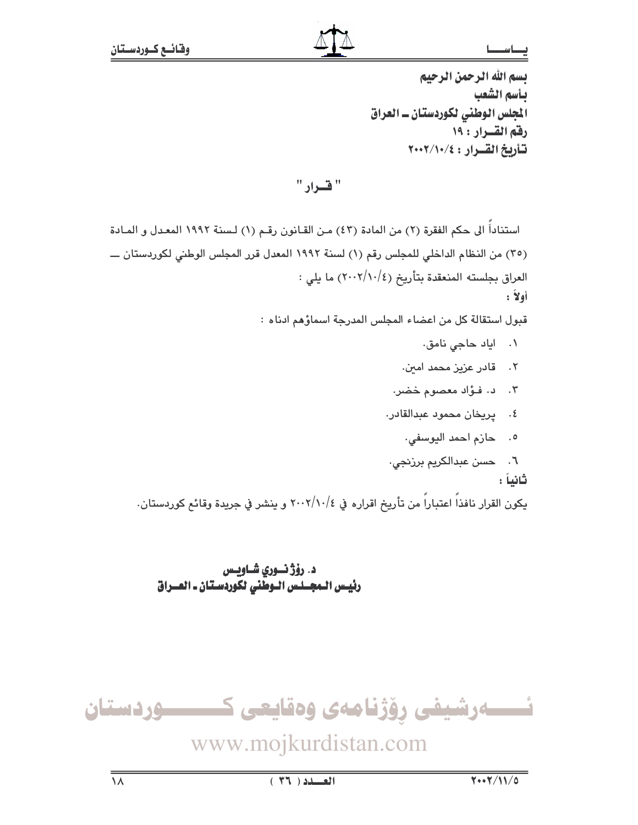يسم الله الرحمن الرحيم بأسم الشعب المجلس الوطني لكوردستان ـ العراق رفق القسرار : ١٩ تأريخ القرار: ٢٠٠٢/١٠/٤

" قدراد "

استناداً الى حكم الفقرة (٢) من المادة (٤٣) مـن القـانون رقـم (١) لـسنة ١٩٩٢ المعـدل و المـادة (٣٥) من النظام الداخلي للمجلس رقم (١) لسنة ١٩٩٢ المعدل قرر المجلس الوطني لكوردستان ـــ العراق بجلسته المنعقدة بتأريخ (٢٠٠٢/١٠/٤) ما يلي : أولأ:

قبول استقالة كل من اعضاء المجلس المدرجة اسماؤهم ادناه :

- ٠١ اياد حاجي نامق.
- ٢. قادر عزیز محمد امین.
- ٠٣. د. فوَّاد معصوم خضر.
- ٤. يريخان محمود عبدالقادر.
	- ٥. حازم احمد اليوسفي.
- ٦. حسن عبدالكريم برزنجى.

ثانياً :

يكون القرار نافذاً اعتباراً من تأريخ اقراره في ٢٠٠٢/١٠/٤ و ينشر في جريدة وقائع كوردستان.

د. رۆژ نسوري شــاويــس رئيس المجـلس الـوطّنى لكوردسـتان ـ العــراق

ئـــــــەرشيفى رۆژنامەى وەقايعى كــــــــــوردستان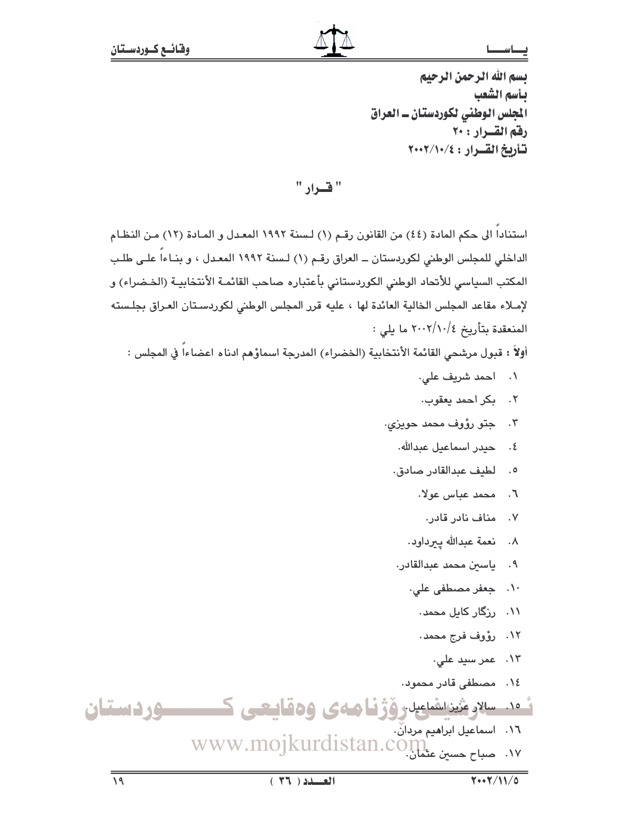يسم الله الرحمن الرحيم بأسم الشعب المجلس الوطني لكوردستان ــ العراق رفق القسرار : ٢٠ تأريخ القرار : ٢٠٠٢/١٠/٤

" قرار "

استنادا الى حكم المادة (٤٤) من القانون رقم (١) لسنة ١٩٩٢ المعدل و المـادة (١٢) مـن النظـام الداخلي للمجلس الوطني لكوردستان ــ العراق رقـم (١) لـسنة ١٩٩٢ المعـدل ، و بنـاءاً علـى طلـب المكتب السياسي للأنحاد الوطني الكوردستاني بأعتباره صاحب القائمـة الأنتخابيـة (الخـضراء) و لإمـلاء مقاعد المجلس الخالية العائدة لها ، عليه قرر المجلس الوطني لكوردسـتان العـراق بجلـسته المنعقدة بتأريخ ٢٠٠٢/١٠/٤ ما يلي :

أولاً : قبول مرشحى القائمة الأنتخابية (الخضراء) المدرجة اسماؤهم ادناه اعضاءاً في المجلس :

- ٠١ احمد شريف على.
- ٢. بكر احمد يعقوب.
- ۰۳ جتو رؤوف محمد حويزی.
	- ٤. حيدر اسماعيل عبدالله.
	- ٥. لطيف عبدالقادر صادق.
		- ٦. محمد عباس عولا.
			- ۷. مناف نادر قادر.
		- ٨. فعمة عبدالله ييرداود.
	- ٩. ياسين محمد عبدالقادر.
		- ۰۱۰ جعفر مصطفی علی.
			- ۱۱. ورگار کابل محمد.
			- ١٢. رؤوف فرج محمد.
				- ۱۳. عمر سید علی.
- ٠١٤ مصطفى قادر محمود.

ئەد. سلارشىن اشاعيل ۋژنيا ھەي ۋەقايىعى ك سوردستان ١٦. اسماعيل ابراهيم مردانٌ.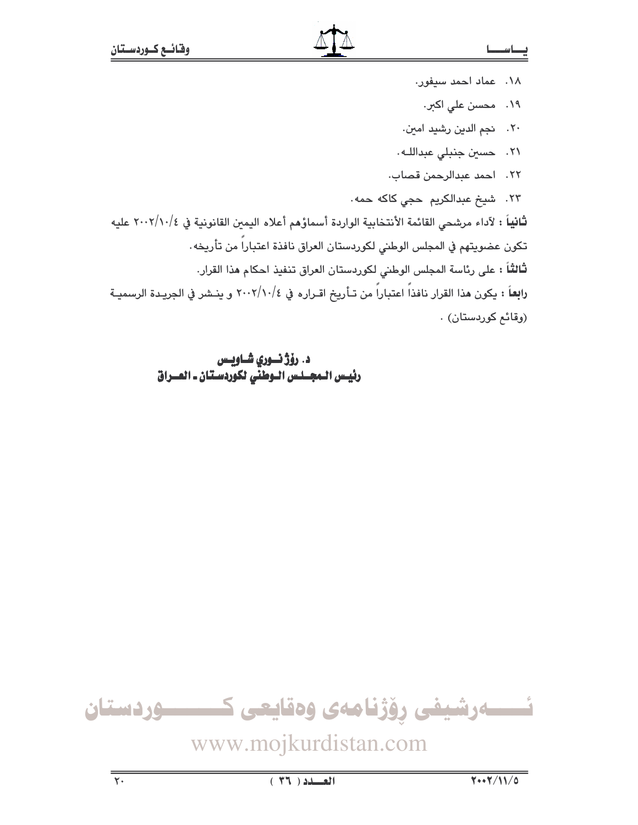- ١٨. عماد أحمد سيفور. ۱۹. محسن علی اکبر. ٢٠. نجم الدين رشيد امين. .<br>٢١. حسين جنبلي عبداللـه.
	- ٢٢. احمد عبدالرحمن قصاب.

٢٣. شيخ عبدالكريم حجى كاكه حمه.

ثَانياً : لآداء مرشحى القائمة الأنتخابية الواردة أسماؤهم أعلاه اليمين القانونية في ٢٠٠٢/١٠/٤ عليه تكون عضويتهم في المجلس الوطني لكوردستان العراق نافذة اعتباراً من تأريخه. **ثالثاً :** على رئاسة المجلس الوطني لكوردستان العراق تنفيذ احكام هذا القرار. را**بِع**اً : يكون هذا القرار نافذاً اعتباراً من تـأريخ اقـراره في ٢٠٠٢/١٠/٤ و ينـشر في الجريـدة الرسميـة

(وقائع كوردستان) .

د. رۆژ نسوري شــاويــس رئيس الـمجــلـس الـوطنّي لكوّردسـتان ـ العــراق



www.mojkurdistan.com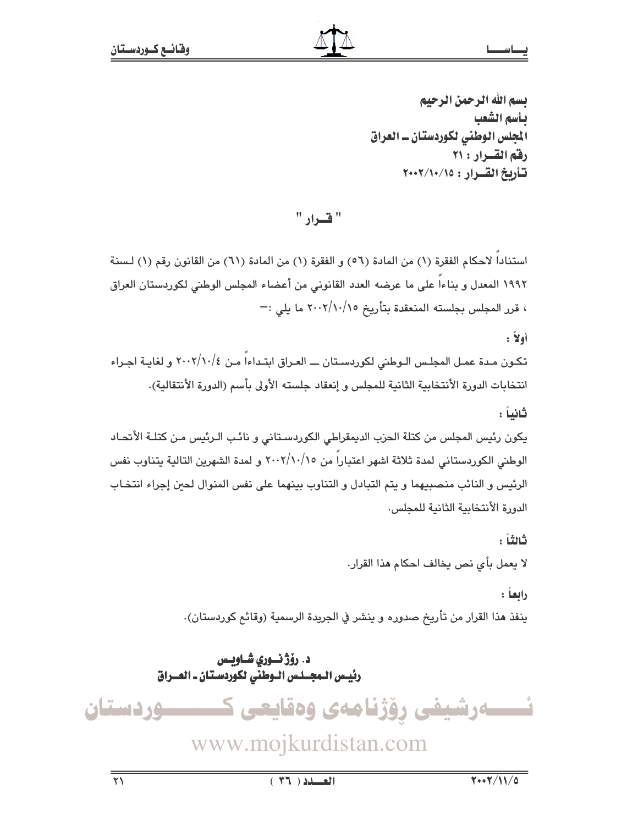تسم الله الرحمن الرحيم بأسم الشعب الجلس الوطني لكوردستان ــ العراق رفق القسرار : ٢١ تشاريخ القسرار : ١٥/١٠/١٠/١٠

" قسرار "

استنادا لاحكام الفقرة (١) من المادة (٥٦) و الفقرة (١) من المادة (٦١) من القانون رقم (١) لسنة ١٩٩٢ المعدل و بناءا على ما عرضه العدد القانوني من أعضاء المجلس الوطنى لكوردستان العراق ، قرر المجلس بجلسته المنعقدة بتأريخ ٢٠٠٢/١٠/١٥ ما يلي :-

أولاً :

تكون مدة عمـل المجلـس الـوطني لكوردسـتان ـــ العـراق ابتـداءاً مـن ٢٠٠٢/١٠/٤ و لغايـة اجـراء انتخابات الدورة الأنتخابية الثانية للمجلس و إنعقاد جلسته الأولى بأسم (الدورة الأنتقالية).

ثانياً :

يكون رئيس المجلس من كتلة الحزب الديمقراطي الكوردستاني و نائب الـرئيس مـن كتلـة الأتحـاد الوطني الكوردستاني لمدة ثلاثة اشهر اعتباراً من ٢٠٠٢/١٠/١٥ و لمدة الشهرين التالية يتناوب نفس الرئيس و النائب منصبيهما و يتم التبادل و التناوب بينهما على نفس المنوال لحين إجراء انتخاب الدورة الأنتخابية الثانية للمجلس.

ثاثتاً :

لا يعمل بأي نص يخالف احكام هذا القرار.

رابعاً :

ينفذ هذا القرار من تأريخ صدوره و ينشر في الجريدة الرسمية (وقائع كوردستان).

د. رۆژ نسوری شــاویس رئيس الـمجــلـس الـوطني لكوردسـتان ـ العــراق

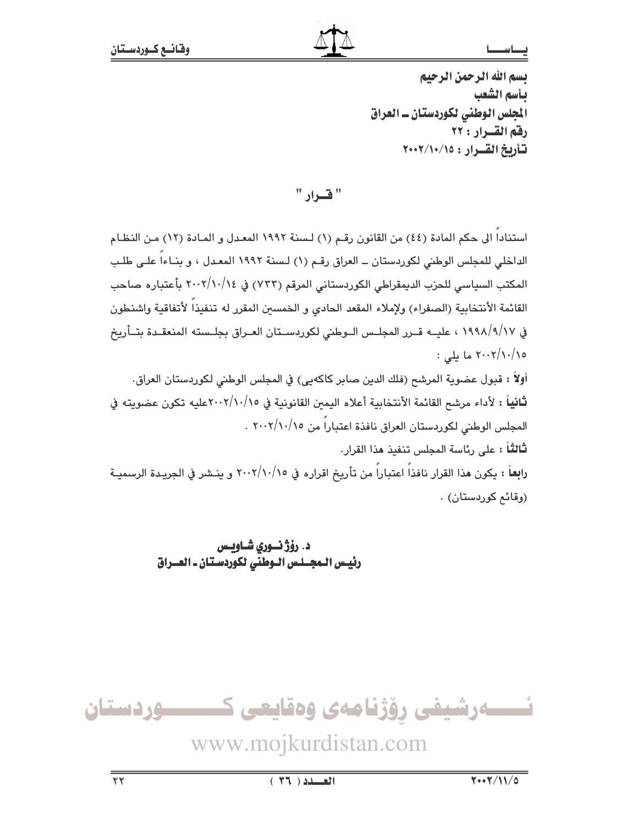يسم الله الرحمن الرحيم بأسم الشعب المجلس الوطني لكوردستان ــ العراق رفق القسرار : ٢٢ تأريخ القرار : ١٥/١٠/١٠٧

" قسرار "

استناداً الى حكم المادة (٤٤) من القانون رقـم (١) لـسنة ١٩٩٢ المعـدل و المـادة (١٢) مـن النظـام الداخلي للمجلس الوطني لكوردستان ــ العراق رقم (١) لسنة ١٩٩٢ المعدل ، و بنـاءاً علـى طلب المكتب السياسي للحزب الديمقراطي الكوردستاني المرقم (٧٣٣) في ٢٠٠٢/١٠/١٤ بأعتباره صاحب القائمة الأنتخابية (الصفراء) ولإملاء المقعد الحادى و الخمسين المقرر له تنفيذاً لأتفاقية واشنطون في ١٩٩٨/٩/١٧ ، عليــه قــرر المجلــس الــوطني لكوردســتان العــراق بجلــسته المنعقـدة بتــأريخ ٢٠٠٢/١٠/١٥ ما يلي :

أولاً : قبول عضوية المرشح (فلك الدين صابر كاكهيي) في المجلس الوطني لكوردستان العراق. ثانياً : لأداء مرشح القائمة الأنتخابية أعلاه اليمين القانونية في ٢٠٠٢/١٠/١٥عليه تكون عضويته في المجلس الوطني لكوردستان العراق نافذة اعتباراً من ٢٠٠٢/١٠/١٥ .

**ثالثاً :** على رئاسة المجلس تنفيذ هذا القرار. را**بع**اً : يكون هذا القرار نافذاً اعتباراً من تأريخ اقراره في ٢٠٠٢/١٠/١٥ و ينـشر في الجريـدة الرسميـة (وقائم كوردستان) .

> د. رۆژ نسوري شــاويــس رئيس الـمجـلس الـوطني لكوردسـتان ـ العــراق

ئــــــەرشيفى رۆژنامەى وەقايعى ك ــــوردستان